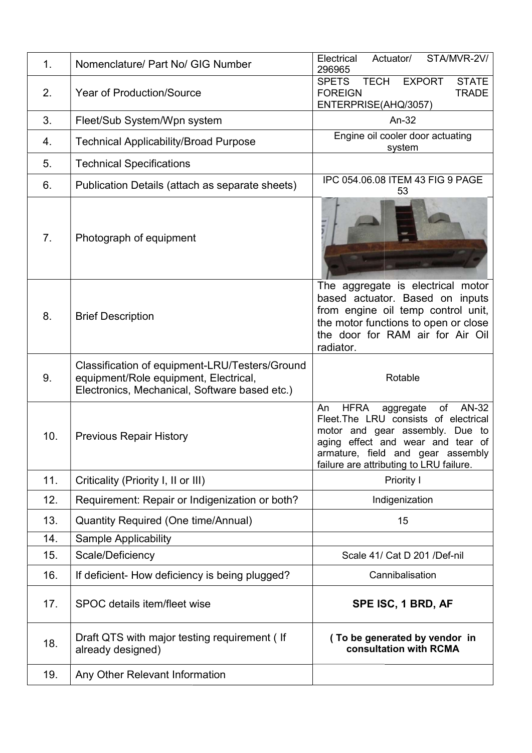| 1.  | Nomenclature/ Part No/ GIG Number                                                                                                        | Electrical<br>Actuator/<br>STA/MVR-2V/<br>296965                                                                                                                                                                                                 |
|-----|------------------------------------------------------------------------------------------------------------------------------------------|--------------------------------------------------------------------------------------------------------------------------------------------------------------------------------------------------------------------------------------------------|
| 2.  | <b>Year of Production/Source</b>                                                                                                         | <b>TECH</b><br><b>SPETS</b><br><b>EXPORT</b><br><b>STATE</b><br><b>FOREIGN</b><br><b>TRADE</b><br>ENTERPRISE(AHQ/3057)                                                                                                                           |
| 3.  | Fleet/Sub System/Wpn system                                                                                                              | An-32                                                                                                                                                                                                                                            |
| 4.  | <b>Technical Applicability/Broad Purpose</b>                                                                                             | Engine oil cooler door actuating<br>system                                                                                                                                                                                                       |
| 5.  | <b>Technical Specifications</b>                                                                                                          |                                                                                                                                                                                                                                                  |
| 6.  | Publication Details (attach as separate sheets)                                                                                          | IPC 054.06.08 ITEM 43 FIG 9 PAGE<br>53                                                                                                                                                                                                           |
| 7.  | Photograph of equipment                                                                                                                  |                                                                                                                                                                                                                                                  |
| 8.  | <b>Brief Description</b>                                                                                                                 | The aggregate is electrical motor<br>based actuator. Based on inputs<br>from engine oil temp control unit,<br>the motor functions to open or close<br>the door for RAM air for Air Oil<br>radiator.                                              |
| 9.  | Classification of equipment-LRU/Testers/Ground<br>equipment/Role equipment, Electrical,<br>Electronics, Mechanical, Software based etc.) | Rotable                                                                                                                                                                                                                                          |
| 10. | <b>Previous Repair History</b>                                                                                                           | AN-32<br><b>HFRA</b><br>of<br>An<br>aggregate<br>Fleet.The LRU consists of electrical<br>motor and gear assembly. Due to<br>effect and wear and tear of<br>aging<br>armature, field and gear assembly<br>failure are attributing to LRU failure. |
| 11. | Criticality (Priority I, II or III)                                                                                                      | Priority I                                                                                                                                                                                                                                       |
| 12. | Requirement: Repair or Indigenization or both?                                                                                           | Indigenization                                                                                                                                                                                                                                   |
| 13. | Quantity Required (One time/Annual)                                                                                                      | 15                                                                                                                                                                                                                                               |
| 14. | <b>Sample Applicability</b>                                                                                                              |                                                                                                                                                                                                                                                  |
| 15. | Scale/Deficiency                                                                                                                         | Scale 41/ Cat D 201 /Def-nil                                                                                                                                                                                                                     |
| 16. | If deficient- How deficiency is being plugged?                                                                                           | Cannibalisation                                                                                                                                                                                                                                  |
| 17. | SPOC details item/fleet wise                                                                                                             | SPE ISC, 1 BRD, AF                                                                                                                                                                                                                               |
| 18. | Draft QTS with major testing requirement (If<br>already designed)                                                                        | (To be generated by vendor in<br>consultation with RCMA                                                                                                                                                                                          |
| 19. | Any Other Relevant Information                                                                                                           |                                                                                                                                                                                                                                                  |